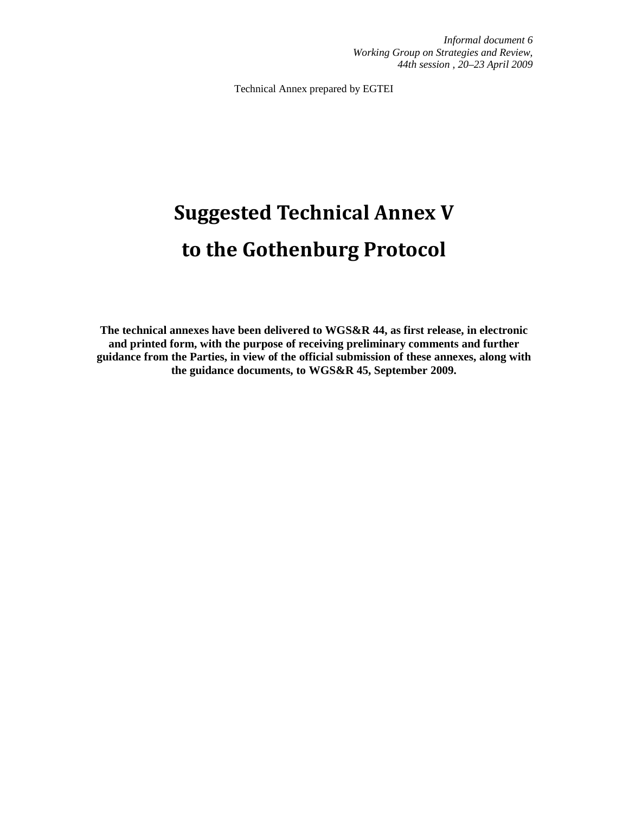Technical Annex prepared by EGTEI

# Suggested Technical Annex V to the Gothenburg Protocol

**The technical annexes have been delivered to WGS&R 44, as first release, in electronic and printed form, with the purpose of receiving preliminary comments and further guidance from the Parties, in view of the official submission of these annexes, along with the guidance documents, to WGS&R 45, September 2009.**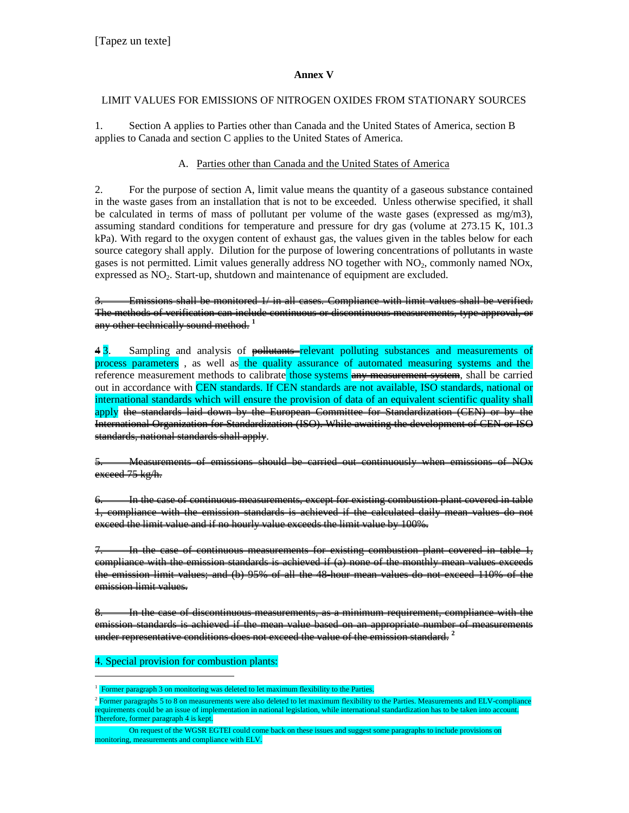#### **Annex V**

#### LIMIT VALUES FOR EMISSIONS OF NITROGEN OXIDES FROM STATIONARY SOURCES

1. Section A applies to Parties other than Canada and the United States of America, section B applies to Canada and section C applies to the United States of America.

#### A. Parties other than Canada and the United States of America

2. For the purpose of section A, limit value means the quantity of a gaseous substance contained in the waste gases from an installation that is not to be exceeded. Unless otherwise specified, it shall be calculated in terms of mass of pollutant per volume of the waste gases (expressed as mg/m3), assuming standard conditions for temperature and pressure for dry gas (volume at 273.15 K, 101.3 kPa). With regard to the oxygen content of exhaust gas, the values given in the tables below for each source category shall apply. Dilution for the purpose of lowering concentrations of pollutants in waste gases is not permitted. Limit values generally address NO together with  $NO<sub>2</sub>$ , commonly named NOx, expressed as NO2. Start-up, shutdown and maintenance of equipment are excluded.

Emissions shall be monitored 1/ in all cases. Compliance with limit values shall be verified. The methods of verification can include continuous or discontinuous measurements, type approval, or any other technically sound method. **<sup>1</sup>**

4 3. Sampling and analysis of pollutants-relevant polluting substances and measurements of process parameters , as well as the quality assurance of automated measuring systems and the reference measurement methods to calibrate those systems any measurement system, shall be carried out in accordance with CEN standards. If CEN standards are not available, ISO standards, national or international standards which will ensure the provision of data of an equivalent scientific quality shall apply the standards laid down by the European Committee for Standardization (CEN) or by the International Organization for Standardization (ISO). While awaiting the development of CEN or ISO standards, national standards shall apply.

5. Measurements of emissions should be carried out continuously when emissions of NOx exeeed 75 kg/h.

6. In the case of continuous measurements, except for existing combustion plant covered in table 1, compliance with the emission standards is achieved if the calculated daily mean values do not exceed the limit value and if no hourly value exceeds the limit value by 100%.

7. In the case of continuous measurements for existing combustion plant covered in table 1, compliance with the emission standards is achieved if (a) none of the monthly mean values exceeds the emission limit values; and (b) 95% of all the 48-hour mean values do not exceed 110% of the emission limit values.

8. In the case of discontinuous measurements, as a minimum requirement, compliance with the emission standards is achieved if the mean value based on an appropriate number of measurements under representative conditions does not exceed the value of the emission standard. **<sup>2</sup>**

# 4. Special provision for combustion plants:

-

<sup>1</sup> Former paragraph 3 on monitoring was deleted to let maximum flexibility to the Parties.

<sup>2</sup> Former paragraphs 5 to 8 on measurements were also deleted to let maximum flexibility to the Parties. Measurements and ELV-compliance requirements could be an issue of implementation in national legislation, while international standardization has to be taken into account. Therefore, former paragraph 4 is kept.

 On request of the WGSR EGTEI could come back on these issues and suggest some paragraphs to include provisions on monitoring, measurements and compliance with ELV.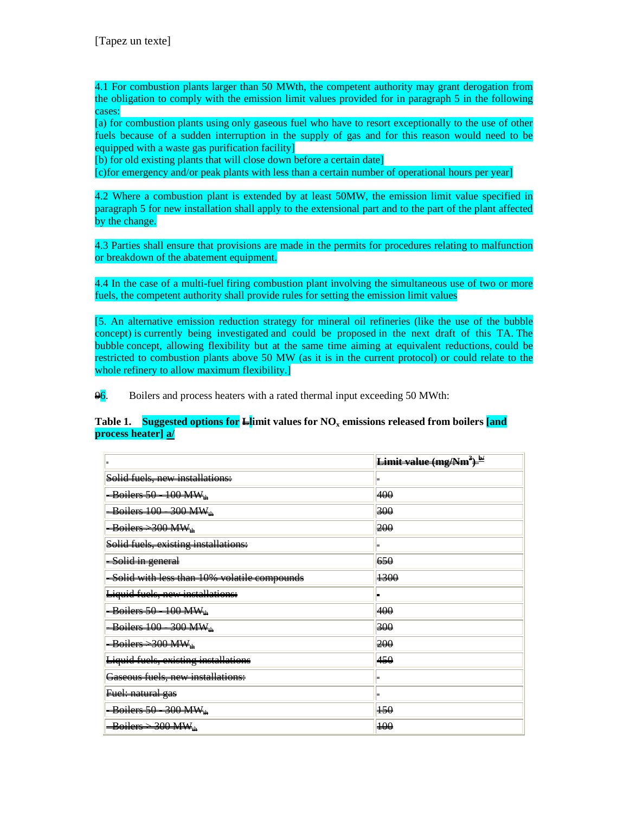4.1 For combustion plants larger than 50 MWth, the competent authority may grant derogation from the obligation to comply with the emission limit values provided for in paragraph 5 in the following cases:

[a) for combustion plants using only gaseous fuel who have to resort exceptionally to the use of other fuels because of a sudden interruption in the supply of gas and for this reason would need to be equipped with a waste gas purification facility]

[b) for old existing plants that will close down before a certain date]

[c)for emergency and/or peak plants with less than a certain number of operational hours per year]

4.2 Where a combustion plant is extended by at least 50MW, the emission limit value specified in paragraph 5 for new installation shall apply to the extensional part and to the part of the plant affected by the change.

4.3 Parties shall ensure that provisions are made in the permits for procedures relating to malfunction or breakdown of the abatement equipment.

4.4 In the case of a multi-fuel firing combustion plant involving the simultaneous use of two or more fuels, the competent authority shall provide rules for setting the emission limit values

[5. An alternative emission reduction strategy for mineral oil refineries (like the use of the bubble concept) is currently being investigated and could be proposed in the next draft of this TA. The bubble concept, allowing flexibility but at the same time aiming at equivalent reductions, could be restricted to combustion plants above 50 MW (as it is in the current protocol) or could relate to the whole refinery to allow maximum flexibility.]

 $\frac{96}{6}$ . Boilers and process heaters with a rated thermal input exceeding 50 MWth:

#### **Table 1. Suggested options for Llimit values for NOx emissions released from boilers [and process heater] a/**

|                                                | Limit value (mg/Nm <sup>3</sup> ) <sup>}}/</sup> |
|------------------------------------------------|--------------------------------------------------|
| Solid fuels, new installations:                | E                                                |
| $-Boilers 50 - 100 MWth$                       | 400                                              |
| $-$ Boilers 100 – 300 MW <sub>th</sub>         | 300                                              |
| $-$ Boilers $\rightarrow$ 300 MW <sub>th</sub> | 200                                              |
| Solid fuels, existing installations:           | -                                                |
| Solid in general                               | 650                                              |
| -Solid with less than 10% volatile compounds   | 1300                                             |
| Liquid fuels, new installations:               | $\equiv$                                         |
| - Boilers 50 - 100 MW <sub>th</sub>            | 400                                              |
| Boilers $100 - 300$ MW <sub>th</sub>           | 300                                              |
| Boilers > 300 MW <sub>th</sub>                 | 200                                              |
| Liquid fuels, existing installations           | 450                                              |
| Gaseous fuels, new installations:              | E                                                |
| Fuel: natural gas                              | E                                                |
| <del>- Boilers 50 - 300 MW.</del>              | $+50$                                            |
| $-Boilers > 300 MWth$                          | $\pm 00$                                         |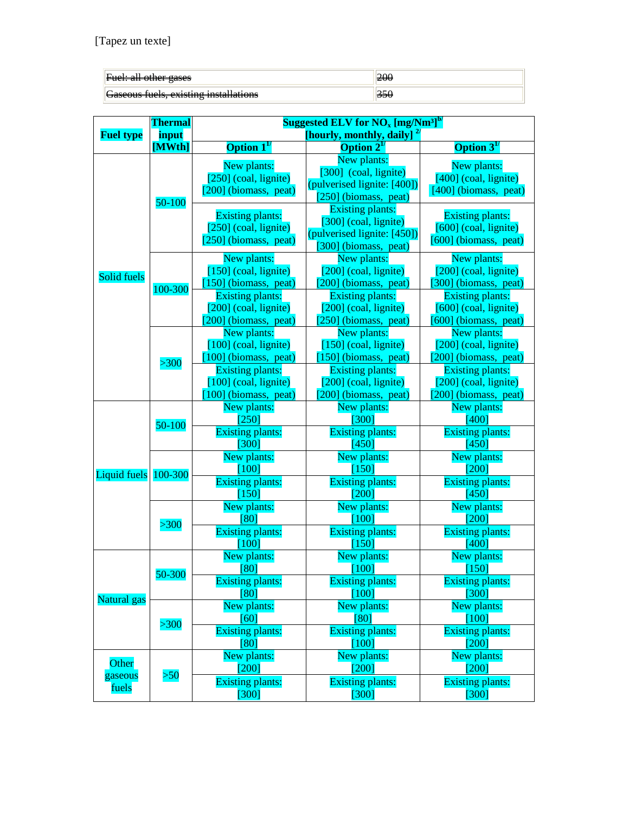| $E_{\text{total}}$ all other coses<br><del>ruoi, an other gases</del>                 | <b>ZUU</b> |
|---------------------------------------------------------------------------------------|------------|
| Zecogue fuele existing installations<br><del>Gascous fucis, Calsting mstanduons</del> |            |

|                  | <b>Thermal</b>  | Suggested ELV for $NO_x$ [mg/Nm <sup>3]b/</sup>                                                                      |                                                                                                                       |                                                                                                                       |  |
|------------------|-----------------|----------------------------------------------------------------------------------------------------------------------|-----------------------------------------------------------------------------------------------------------------------|-----------------------------------------------------------------------------------------------------------------------|--|
| <b>Fuel type</b> | input<br>[MWth] |                                                                                                                      | [hourly, monthly, daily] $^{27}$<br>Option $21$                                                                       | Option $3^{1/2}$                                                                                                      |  |
|                  |                 | Option $1^{1/2}$                                                                                                     | New plants:                                                                                                           |                                                                                                                       |  |
|                  | 50-100          | New plants:<br>$[250]$ (coal, lignite)<br>[200] (biomass, peat)                                                      | [300] (coal, lignite)<br>(pulverised lignite: [400])<br>$[250]$ (biomass, peat)                                       | New plants:<br>$[400]$ (coal, lignite)<br>[400] (biomass, peat)                                                       |  |
|                  |                 | <b>Existing plants:</b><br>$[250]$ (coal, lignite)<br>250] (biomass, peat)                                           | <b>Existing plants:</b><br>[300] (coal, lignite)<br>(pulverised lignite: [450])<br>[300] (biomass, peat)              | <b>Existing plants:</b><br>$[600]$ (coal, lignite)<br>[600] (biomass, peat)                                           |  |
| Solid fuels      | 100-300         | New plants:<br>$[150]$ (coal, lignite)<br>150] (biomass, peat)<br><b>Existing plants:</b><br>$[200]$ (coal, lignite) | New plants:<br>$[200]$ (coal, lignite)<br>[200] (biomass, peat)<br><b>Existing plants:</b><br>$[200]$ (coal, lignite) | New plants:<br>$[200]$ (coal, lignite)<br>[300] (biomass, peat)<br><b>Existing plants:</b><br>$[600]$ (coal, lignite) |  |
|                  |                 | [200] (biomass, peat)                                                                                                | [250] (biomass, peat)                                                                                                 | 600] (biomass, peat)                                                                                                  |  |
|                  | $>300$          | New plants:<br>[100] (coal, lignite)<br>[100] (biomass, peat)                                                        | New plants:<br>$[150]$ (coal, lignite)<br>[150] (biomass, peat)                                                       | New plants:<br>[200] (coal, lignite)<br>[200] (biomass, peat)                                                         |  |
|                  |                 | <b>Existing plants:</b><br>[100] (coal, lignite)<br>100] (biomass, peat)                                             | <b>Existing plants:</b><br>$[200]$ (coal, lignite)<br>200] (biomass, peat)                                            | <b>Existing plants:</b><br>$[200]$ (coal, lignite)<br>$[200]$ (biomass, peat)                                         |  |
|                  | 50-100          | New plants:<br>$[250]$                                                                                               | New plants:<br>[300]                                                                                                  | New plants:<br>[400]                                                                                                  |  |
|                  |                 | <b>Existing plants:</b><br>[300]                                                                                     | <b>Existing plants:</b><br>[450]                                                                                      | <b>Existing plants:</b><br>[450]                                                                                      |  |
| Liquid fuels     | 100-300         | New plants:<br>[100]                                                                                                 | New plants:<br>[150]                                                                                                  | New plants:<br>[200]                                                                                                  |  |
|                  |                 | <b>Existing plants:</b><br>[150]                                                                                     | <b>Existing plants:</b><br>[200]                                                                                      | <b>Existing plants:</b><br>[450]                                                                                      |  |
|                  | $>300$          | New plants:<br>[80]                                                                                                  | New plants:<br>[100]                                                                                                  | New plants:<br>[200]                                                                                                  |  |
|                  |                 | <b>Existing plants:</b><br>[100]                                                                                     | <b>Existing plants:</b><br>[150]                                                                                      | <b>Existing plants:</b><br>[400]                                                                                      |  |
|                  | 50-300          | New plants:<br>[80]                                                                                                  | New plants:<br>[100]                                                                                                  | New plants:<br>[150]                                                                                                  |  |
| Natural gas      |                 | <b>Existing plants:</b><br>[80]                                                                                      | <b>Existing plants:</b><br>$[100]$                                                                                    | <b>Existing plants:</b><br>[300]                                                                                      |  |
|                  | $>300$          | New plants:<br>[60]                                                                                                  | New plants:<br>[80]                                                                                                   | New plants:<br>$[100]$                                                                                                |  |
|                  |                 | <b>Existing plants:</b><br>[80]                                                                                      | <b>Existing plants:</b><br>$[100]$                                                                                    | <b>Existing plants:</b><br>[200]                                                                                      |  |
| Other<br>gaseous | > 50            | New plants:<br>$[200]$                                                                                               | New plants:<br>[200]                                                                                                  | New plants:<br>[200]                                                                                                  |  |
| fuels            |                 | <b>Existing plants:</b><br>$[300]$                                                                                   | <b>Existing plants:</b><br>$[300]$                                                                                    | <b>Existing plants:</b><br>$[300]$                                                                                    |  |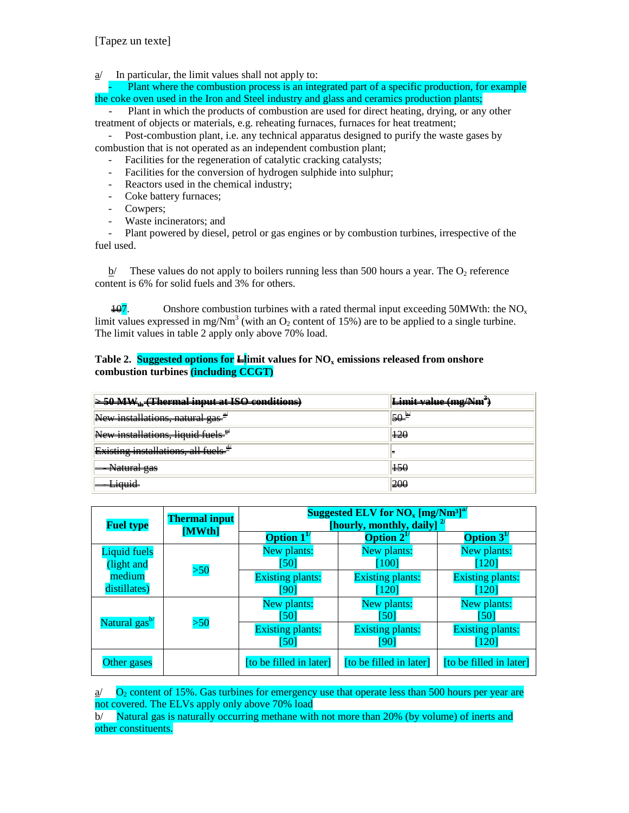a/ In particular, the limit values shall not apply to:

Plant where the combustion process is an integrated part of a specific production, for example the coke oven used in the Iron and Steel industry and glass and ceramics production plants;

Plant in which the products of combustion are used for direct heating, drying, or any other treatment of objects or materials, e.g. reheating furnaces, furnaces for heat treatment;

Post-combustion plant, i.e. any technical apparatus designed to purify the waste gases by combustion that is not operated as an independent combustion plant;

- Facilities for the regeneration of catalytic cracking catalysts;
- Facilities for the conversion of hydrogen sulphide into sulphur;
- Reactors used in the chemical industry;
- Coke battery furnaces;
- Cowpers;
- Waste incinerators; and

 - Plant powered by diesel, petrol or gas engines or by combustion turbines, irrespective of the fuel used.

 $b$  These values do not apply to boilers running less than 500 hours a year. The O<sub>2</sub> reference content is 6% for solid fuels and 3% for others.

 $\frac{107}{100}$ . Onshore combustion turbines with a rated thermal input exceeding 50MWth: the NO<sub>x</sub> limit values expressed in mg/Nm<sup>3</sup> (with an  $O_2$  content of 15%) are to be applied to a single turbine. The limit values in table 2 apply only above 70% load.

#### Table 2. Suggested options for Limit values for NO<sub>x</sub> emissions released from onshore **combustion turbines (including CCGT)**

| $\geq 50$ MW <sub>th</sub> (Thermal input at ISO conditions)                   |                  |
|--------------------------------------------------------------------------------|------------------|
| Now inctallations natural age #                                                | 50- <sup>⊎</sup> |
| New inetallations liquid fuels<br><u>ravy y monocentum villa introduction </u> | 120              |
| Evicting inctallations all<br><del>EAlsting mistanations, an itacis</del>      |                  |
| <del>-Natural gas</del>                                                        | $\pm 0$          |
| $-1$ <i>ania</i><br><del>Enquiu</del>                                          | 200              |

| <b>Fuel type</b>               | <b>Thermal input</b><br>[MWth]  | Suggested ELV for $NO_x$ [mg/ $Nm^3$ ] <sup>a/</sup><br>[hourly, monthly, daily] $^{2/}$ |                                            |                                  |
|--------------------------------|---------------------------------|------------------------------------------------------------------------------------------|--------------------------------------------|----------------------------------|
|                                |                                 | <b>Option</b> $1^{1/2}$                                                                  | Option $2^{1/2}$                           | Option $3^{1/2}$                 |
| Liquid fuels<br>(light and     |                                 | New plants:<br>[50]                                                                      | New plants:<br>[100]                       | New plants:<br>[120]             |
| > 50<br>medium<br>distillates) | <b>Existing plants:</b><br>[90] | <b>Existing plants:</b><br>[120]                                                         | <b>Existing plants:</b><br>[120]           |                                  |
| Natural gas <sup>b/</sup>      | >50                             | New plants:<br>[50]                                                                      | New plants:<br>'50'                        | New plants:<br>[50]              |
|                                |                                 | <b>Existing plants:</b><br>[50]                                                          | <b>Existing plants:</b><br><sup>'90'</sup> | <b>Existing plants:</b><br>[120] |
| Other gases                    |                                 | [to be filled in later]                                                                  | [to be filled in later]                    | [to be filled in later]          |

 $\alpha$  O<sub>2</sub> content of 15%. Gas turbines for emergency use that operate less than 500 hours per year are not covered. The ELVs apply only above 70% load

b/ Natural gas is naturally occurring methane with not more than 20% (by volume) of inerts and other constituents.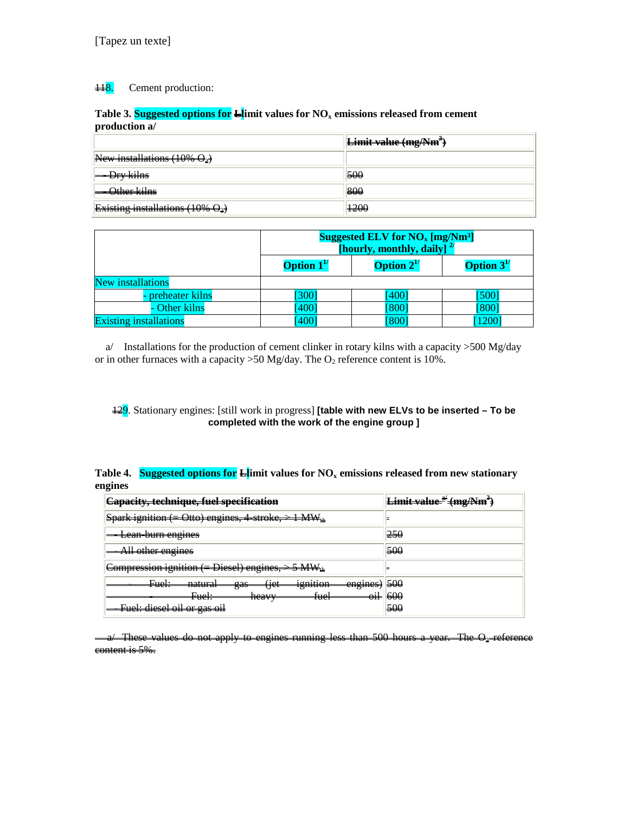#### 448. Cement production:

## **Table 3. Suggested options for Llimit values for NOx emissions released from cement production a/**

|                                               | <del>Limit value (mg/Nm<sup>3</sup>)</del> |
|-----------------------------------------------|--------------------------------------------|
| New installations $(10\% \text{ O}_2)$        |                                            |
| -Dry kilns                                    | 500                                        |
| <u>- Athor kilne</u><br><del>oura ann</del> o | 800                                        |
| Existing installations $(10\% \Theta_2)$      | <del>1200</del>                            |

|                               | Suggested ELV for $NO_x$ [mg/ $Nm^3$ ]<br>[hourly, monthly, daily] $^{27}$ |       |      |
|-------------------------------|----------------------------------------------------------------------------|-------|------|
|                               | Option $2^{1/2}$<br><b>Option</b> $1^{1/2}$<br><b>Option</b> $3^{1/2}$     |       |      |
| <b>New installations</b>      |                                                                            |       |      |
| preheater kilns               | 3001                                                                       | 4001  | 500  |
| - Other kilns                 | 4001                                                                       | [800] | '800 |
| <b>Existing installations</b> | 400<br><b>800</b><br>.200                                                  |       |      |

 a/ Installations for the production of cement clinker in rotary kilns with a capacity >500 Mg/day or in other furnaces with a capacity  $>50$  Mg/day. The  $O_2$  reference content is 10%.

129. Stationary engines: [still work in progress] **[table with new ELVs to be inserted – To be completed with the work of the engine group ]** 

**Table 4. Suggested options for Llimit values for NOx emissions released from new stationary engines**

| Capacity, technique, fuel specification                                                                                                                         | <del>Limit value <sup>a/</sup> (mg/Nm<sup>3</sup>)</del> |
|-----------------------------------------------------------------------------------------------------------------------------------------------------------------|----------------------------------------------------------|
| $\Gamma$ nork ignition $\ell$<br>N ANNI<br>$(046)$ opainse<br>atrolz<br><del>t ivi w µ</del><br><del>opan igilitoli</del><br><del>ouv, engines, rouoke, s</del> |                                                          |
| <del>Lean-burn engmes</del>                                                                                                                                     | 250                                                      |
| All other engines<br><del>An ouror ongmos</del>                                                                                                                 | 500                                                      |
| Compression ignition (= Diesel) engines, $\geq$ 5 MW <sub>th</sub>                                                                                              |                                                          |
| ionition<br>ىلمىت<br>noturo<br><u>(angino</u> e<br>10t<br>0.00<br>ruu.<br><del>natura</del> n<br><del>engmoo</del><br>तान<br>15muon<br>$\mathbf{F}$ ao          | 500                                                      |
| لنم<br>Find:<br>امتئا<br>h $0.03737$<br>1 uv.<br>1401<br>$\sigma$<br>$\mathbf{u}$<br>Evel discol oil or see oil<br><del>Fuer: areser on or gas on</del>         | 600<br>1000<br>500                                       |

a/ These values do not apply to engines running less than 500 hours a year. The O<sub>2</sub> reference content is 5%.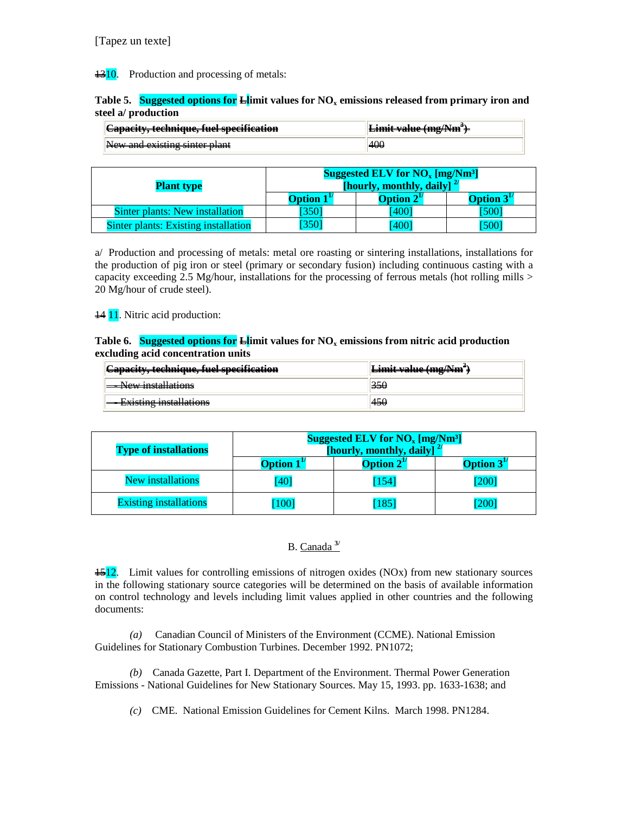$\frac{1310}{1310}$ . Production and processing of metals:

#### **Table 5.** Suggested options for  $\frac{1}{2}$  limit values for NO<sub>x</sub> emissions released from primary iron and **steel a/ production**

| <u> Langoity toobnique fuol cneoification </u><br><del>. Сараспу, исситуас, пистъреснисанон</del> | <del>Limit value (mg/Nm<sup>3</sup>)</del> |
|---------------------------------------------------------------------------------------------------|--------------------------------------------|
| Now and ovicting cintor plant<br><del>ton and existing since plant</del>                          | 400                                        |

| <b>Plant type</b>                           | Suggested ELV for $NO_x$ [mg/ $Nm^3$ ]<br>[hourly, monthly, daily] $^{2/}$ |                  |                         |
|---------------------------------------------|----------------------------------------------------------------------------|------------------|-------------------------|
|                                             | Option $1^{\prime\prime}$                                                  | Option $2^{1/2}$ | <b>Option</b> $3^{1/2}$ |
| <b>Sinter plants: New installation</b>      | 350                                                                        | 4001             | 500                     |
| <b>Sinter plants: Existing installation</b> | [350]                                                                      | [400]            | 5001                    |

a/ Production and processing of metals: metal ore roasting or sintering installations, installations for the production of pig iron or steel (primary or secondary fusion) including continuous casting with a capacity exceeding 2.5 Mg/hour, installations for the processing of ferrous metals (hot rolling mills  $>$ 20 Mg/hour of crude steel).

<sup>44</sup> 11. Nitric acid production:

#### **Table 6. Suggested options for Llimit values for NOx emissions from nitric acid production excluding acid concentration units**

| <b>Capacity, technique, fuel specification</b>                  | Limit value (mg/Nm <sup>3</sup> ) |
|-----------------------------------------------------------------|-----------------------------------|
| Now installations<br><del>1108 1113tananomo</del>               | .350                              |
| E <sub>width</sub> of the<br><del>L'Alsting mistantations</del> | 150                               |

| <b>Type of installations</b>  | Suggested ELV for $NO_x$ [mg/Nm <sup>3</sup> ]<br>[hourly, monthly, daily] $^{27}$ |                  |             |
|-------------------------------|------------------------------------------------------------------------------------|------------------|-------------|
|                               | <b>Option</b> $1^{\prime\prime}$                                                   | Option $2^{1/2}$ | Option $31$ |
| <b>New installations</b>      | [40]                                                                               | [154]            | 7200        |
| <b>Existing installations</b> | $100^\circ$                                                                        | 185              | 200         |

# B. Canada **3/**

 $\frac{1512}{1512}$ . Limit values for controlling emissions of nitrogen oxides (NOx) from new stationary sources in the following stationary source categories will be determined on the basis of available information on control technology and levels including limit values applied in other countries and the following documents:

*(a)* Canadian Council of Ministers of the Environment (CCME). National Emission Guidelines for Stationary Combustion Turbines. December 1992. PN1072;

*(b)* Canada Gazette, Part I. Department of the Environment. Thermal Power Generation Emissions - National Guidelines for New Stationary Sources. May 15, 1993. pp. 1633-1638; and

*(c)* CME. National Emission Guidelines for Cement Kilns. March 1998. PN1284.